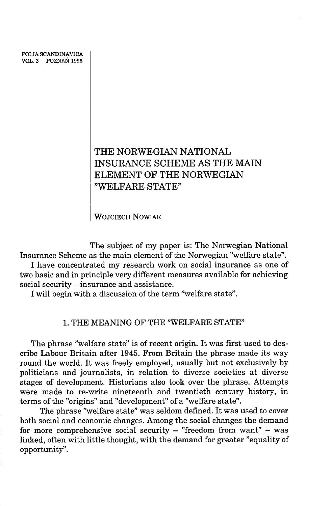FOLIA SCANDINAVICA VOL. 3 POZNAŃ 1996

# **THE NORWEGIAN NATIONAL INSURANCE SCHEME AS THE MAIN ELEMENT OF THE NORWEGIAN "WELFARE STATE"**

WOJCIECH NOWIAK

The subject of my paper is: The Norwegian National Insurance Scheme as the main element of the Norwegian ''welfare state".

I have concentrated my research work on social insurance as one of two basic and in principle very different measures available for achieving social security — insurance and assistance.

I will begin with a discussion of the term ''welfare state".

## 1. THE MEANING OF THE ''WELFARE STATE"

The phrase "welfare state" is of recent origin. It was first used to describe Labour Britain after 1945. From Britain the phrase made its way round the world. It was freely employed, usually but not exclusively by politicians and journalists, in relation to diverse societies at diverse stages of development. Historians also took over the phrase. Attempts were made to re-write nineteenth and twentieth century history, in terms of the "origins" and "development" of a "welfare state".

The phrase ''welfare state" was seldom defined. It was used to cover both social and economic changes. Among the social changes the demand for more comprehensive social security  $-$  "freedom from want"  $-$  was linked, often with little thought, with the demand for greater ''equality of opportunity".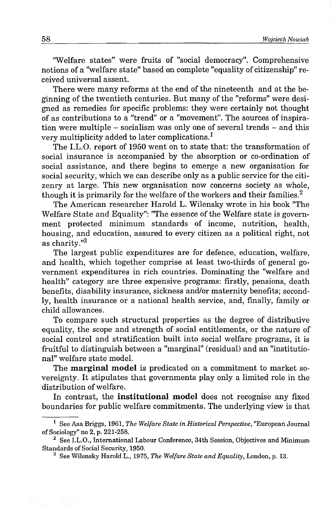'Welfare states" were fruits of "social democracy". Comprehensive notions of a "welfare state" based on complete "equality of citizenship" received universal assent.

There were many reforms at the end of the nineteenth and at the beginning of the twentieth centuries. But many of the ''reforms" were designed as remedies for specific problems: they were certainly not thought of as contributions to a "trend" or a "movement". The sources of inspiration were multiple  $-$  socialism was only one of several trends  $-$  and this very multiplicity added to later complications.1

The I.L.O. report of 1950 went on to state that: the transformation of social insurance is accompanied by the absorption or co-ordination of social assistance, and there begins to emerge a new organisation for social security, which we can describe only as a public service for the citizenry at large. This new organisation now concerns society as whole, though it is primarily for the welfare of the workers and their families. $2$ 

The American researcher Harold L. Wilensky wrote in his book ''The Welfare State and Equality": "The essence of the Welfare state is government protected minimum standards of income, nutrition, health, housing, and education, assured to every citizen as a political right, not as charity. $^{\prime\prime3}$ 

The largest public expenditures are for defence, education, welfare, and health, which together comprise at least two-thirds of general government expenditures in rich countries. Dominating the ''welfare and health" category are three expensive programs: firstly, pensions, death benefits, disability insurance, sickness and/or maternity benefits; secondly, health insurance or a national health service, and, finally, family or child allowances.

To compare such structural properties as the degree of distributive equality, the scope and strength of social entitlements, or the nature of social control and stratification built into social welfare programs, it is fruitful to distinguish between a ''marginal" (residual) and an ''institutional" welfare state model.

The marginal model is predicated on a commitment to market sovereignty. It stipulates that governments play only a limited role in the distribution of welfare.

In contrast, the institutional model does not recognise any fixed boundaries for public welfare commitments. The underlying view is that

<sup>&</sup>lt;sup>1</sup> See Asa Briggs, 1961, *The Welfare State in Historical Perspective*, "European Journal of Sociology" no 2, p. 221-258.

<sup>&</sup>lt;sup>2</sup> See I.L.O., International Labour Conference, 34th Session, Objectives and Minimum Standards of Social Security, 1950.

<sup>3</sup> See Wilensky Harold L., 1975, *The Welfare State and Equality,* London, p. 13.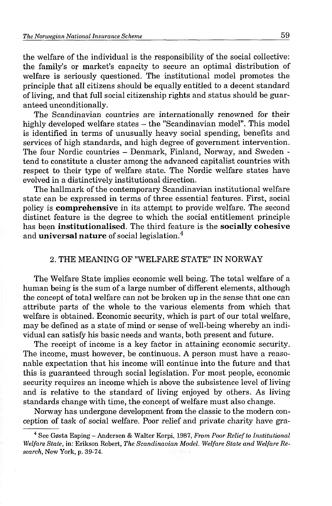the welfare of the individual is the responsibility of the social collective: the family's or market's capacity to secure an optimal distribution of welfare is seriously questioned. The institutional model promotes the principle that all citizens should be equally entitled to a decent standard of living, and that full social citizenship rights and status should be guaranteed unconditionally.

The Scandinavian countries are internationally renowned for their highly developed welfare states - the "Scandinavian model". This model is identified in terms of unusually heavy social spending, benefits and services of high standards, and high degree of government intervention. The four Nordic countries - Denmark, Finland, Norway, and Sweden tend to constitute a cluster among the advanced capitalist countries with respect to their type of welfare state. The Nordic welfare states have evolved in a distinctively institutional direction.

The hallmark of the contemporary Scandinavian institutional welfare state can be expressed in terms of three essential features. First, social policy is comprehensive in its attempt to provide welfare. The second distinct feature is the degree to which the social entitlement principle has been institutionalised. The third feature is the socially cohesive and **universal nature** of social legislation.<sup>4</sup>

# 2. THE MEANING OF ''WELFARE STATE" IN NORWAY

The Welfare State implies economic well being. The total welfare of a human being is the sum of a large number of different elements, although the concept of total welfare can not be broken up in the sense that one can attribute parts of the whole to the various elements from which that welfare is obtained. Economic security, which is part of our total welfare, may be defined as a state of mind or sense of well-being whereby an individual can satisfy his basic needs and wants, both present and future.

The receipt of income is a key factor in attaining economic security. The income, must however, be continuous. A person must have a reasonable expectation that his income will continue into the future and that this is guaranteed through social legislation. For most people, economic security requires an income which is above the subsistence level of living and is relative to the standard of living enjoyed by others. As living standards change with time, the concept of welfare must also change.

Norway has undergone development from the classic to the modern conception of task of social welfare. Poor relief and private charity have gra-

<sup>4</sup> See G0sta Esping - Andersen & Walter Korpi, 1987, *From Poor Relief to Institutional Welfare State,* in: Erikson Robert, *The Scandinavian Model. Welfare State and Welfare Research,* New York, p. 39-74.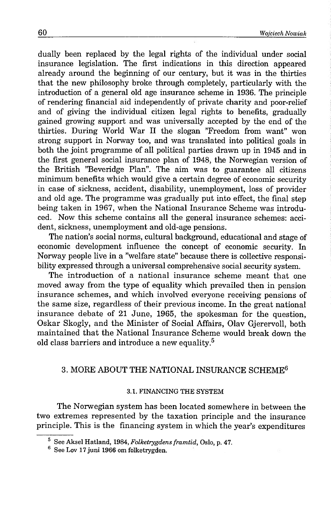dually been replaced by the legal rights of the individual under social insurance legislation. The first indications in this direction appeared already around the beginning of our century, but it was in the thirties that the new philosophy broke through completely, particularly with the introduction of a general old age insurance scheme in 1936. The principle of rendering financial aid independently of private charity and poor-relief and of giving the individual citizen legal rights to benefits, gradually gained growing support and was universally accepted by the end of the thirties. During World War II the slogan ''Freedom from want" won strong support in Norway too, and was translated into political goals in both the joint programme of all political parties drawn up in 1945 and in the first general social insurance plan of 1948, the Norwegian version of the British ''Beveridge Plan". The aim was to guarantee all citizens minimum benefits which would give a certain degree of economic security in case of sickness, accident, disability, unemployment, loss of provider and old age. The programme was gradually put into effect, the final step being taken in 1967, when the National Insurance Scheme was introduced. Now this scheme contains all the general insurance schemes: accident, sickness, unemployment and old-age pensions.

The nation's social norms, cultural background, educational and stage of economic development influence the concept of economic security. In Norway people live in a ''welfare state" because there is collective responsibility expressed through a universal comprehensive social security system.

The introduction of a national insurance scheme meant that one moved away from the type of equality which prevailed then in pension insurance schemes, and which involved everyone receiving pensions of the same size, regardless of their previous income. In the great national insurance debate of 21 June, 1965, the spokesman for the question, Oskar Skogly, and the Minister of Social Affairs, Olav Gjerervoll, both maintained that the National Insurance Scheme would break down the old class barriers and introduce a new equality.5

# 3. MORE ABOUT THE NATIONAL INSURANCE SCHEME6

### 3.1. FINANCING THE SYSTEM

The Norwegian system has been located somewhere in between the two extremes represented by the taxation principle and the insurance principle. This is the financing system in which the year's expenditures

<sup>5</sup> See Aksel Hatland, 1984, *Folketrygdens framtid,* Oslo, p. 47.

 $6$  See Lov 17 juni 1966 om folketrygden.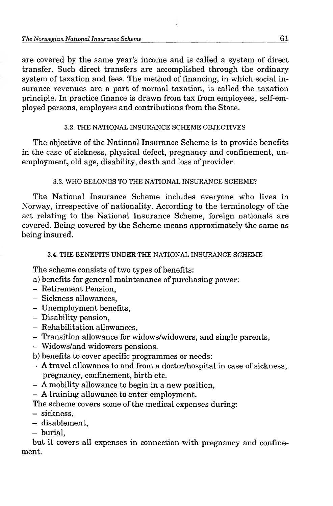are covered by the same year's income and is called a system of direct transfer. Such direct transfers are accomplished through the ordinary system of taxation and fees. The method of financing, in which social insurance revenues are a part of normal taxation, is called the taxation principle. In practice finance is drawn from tax from employees, self-employed persons, employers and contributions from the State.

# 3.2. THE NATIONAL INSURANCE SCHEME OBJECTIVES

The objective of the National Insurance Scheme is to provide benefits in the case of sickness, physical defect, pregnancy and confinement, unemployment, old age, disability, death and loss of provider.

# 3.3. WHO BELONGS TO THE NATIONAL INSURANCE SCHEME?

The National Insurance Scheme includes everyone who lives in Norway, irrespective of nationality. According to the terminology of the act relating to the National Insurance Scheme, foreign nationals are covered. Being covered by the Scheme means approximately the same as being insured.

# 3.4. THE BENEFITS UNDER THE NATIONAL INSURANCE SCHEME

The scheme consists of two types of benefits:

- a) benefits for general maintenance of purchasing power:
- Retirement Pension,
- Sickness allowances,
- Unemployment benefits,
- Disability pension,
- Rehabilitation allowances,
- Transition allowance for widows/widowers, and single parents,
- Widows/and widowers pensions.
- b) benefits to cover specific programmes or needs:
- A travel allowance to and from a doctor/hospital in case of sickness, pregnancy, confinement, birth etc.
- A mobility allowance to begin in a new position,
- A training allowance to enter employment.

The scheme covers some of the medical expenses during:

- sickness,
- disablement,
- burial,

but it covers all expenses in connection with pregnancy and confinement.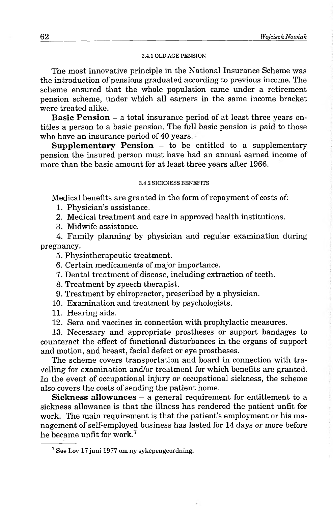#### 3.4.1 OLD AGE PENSION

The most innovative principle in the National Insurance Scheme was the introduction of pensions graduated according to previous income. The scheme ensured that the whole population came under a retirement pension scheme, under which all earners in the same income bracket were treated alike.

Basic Pension - a total insurance period of at least three years entitles a person to a basic pension. The full basic pension is paid to those who have an insurance period of 40 years.

**Supplementary Pension**  $-$  to be entitled to a supplementary pension the insured person must have had an annual earned income of more than the basic amount for at least three years after 1966.

#### 3.4.2 SICKNESS BENEFITS

Medical benefits are granted in the form of repayment of costs of:

1. Physician's assistance.

2. Medical treatment and care in approved health institutions.

3. Midwife assistance.

4. Family planning by physician and regular examination during pregnancy.

5. Physiotherapeutic treatment.

6. Certain medicaments of major importance.

7. Dental treatment of disease, including extraction of teeth.

8. Treatment by speech therapist.

- 9. Treatment by chiropractor, prescribed by a physician.
- 10. Examination and treatment by psychologists.
- 11. Hearing aids.

12. Sera and vaccines in connection with prophylactic measures.

13. Necessary and appropriate prostheses or support bandages to counteract the effect of functional disturbances in the organs of support and motion, and breast, facial defect or eye prostheses.

The scheme covers transportation and board in connection with travelling for examination and/or treatment for which benefits are granted. In the event of occupational injury or occupational sickness, the scheme also covers the costs of sending the patient home.

Sickness allowances - a general requirement for entitlement to a sickness allowance is that the illness has rendered the patient unfit for work. The main requirement is that the patient's employment or his management of self-employed business has lasted for 14 days or more before he became unfit for work.7

<sup>7</sup> See Lov 17 juni 1977 om ny sykepengeordning.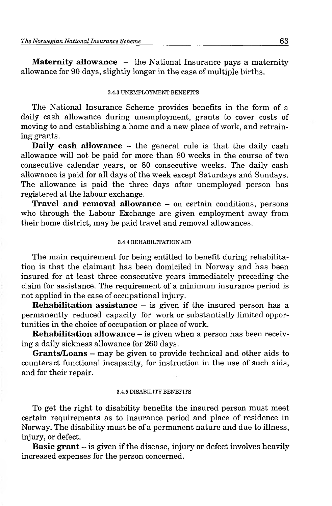**Maternity allowance** - the National Insurance pays a maternity allowance for 90 days, slightly longer in the case of multiple births.

#### 3.4.3 UNEMPLOYMENT BENEFITS

The National Insurance Scheme provides benefits in the form of a daily cash allowance during unemployment, grants to cover costs of moving to and establishing a home and a new place of work, and retraining grants.

**Daily cash allowance** - the general rule is that the daily cash allowance will not be paid for more than 80 weeks in the course of two consecutive calendar years, or 80 consecutive weeks. The daily cash allowance is paid for all days of the week except Saturdays and Sundays. The allowance is paid the three days after unemployed person has registered at the labour exchange.

**Travel and removal allowance** - on certain conditions, persons who through the Labour Exchange are given employment away from their home district, may be paid travel and removal allowances.

### 3.4.4 REHABILITATION AID

The main requirement for being entitled to benefit during rehabilitation is that the claimant has been domiciled in Norway and has been insured for at least three consecutive years immediately preceding the claim for assistance. The requirement of a minimum insurance period is not applied in the case of occupational injury.

**Rehabilitation assistance**  $-$  is given if the insured person has a permanently reduced capacity for work or substantially limited opportunities in the choice of occupation or place of work.

**Rehabilitation allowance** – is given when a person has been receiving a daily sickness allowance for 260 days.

**Grants/Loans** - may be given to provide technical and other aids to counteract functional incapacity, for instruction in the use of such aids, and for their repair.

#### 3.4.5 DISABILITY BENEFITS

To get the right to disability benefits the insured person must meet certain requirements as to insurance period and place of residence in Norway. The disability must be of a permanent nature and due to illness, injury, or defect.

**Basic grant** – is given if the disease, injury or defect involves heavily increased expenses for the person concerned.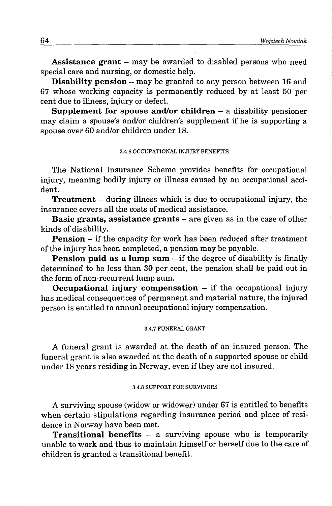Assistance grant - may be awarded to disabled persons who need special care and nursing, or domestic help.

Disability pension - may be granted to any person between 16 and 67 whose working capacity is permanently reduced by at least 50 per cent due to illness, injury or defect.

Supplement for spouse and/or children  $-$  a disability pensioner may claim a spouse's and/or children's supplement if he is supporting a spouse over 60 and/or children under 18.

### 3.4.6 OCCUPATIONAL INJURY BENEFITS

The National Insurance Scheme provides benefits for occupational injury, meaning bodily injury or illness caused by an occupational accident.

**Treatment** – during illness which is due to occupational injury, the insurance covers all the costs of medical assistance.

Basic grants, assistance grants – are given as in the case of other kinds of disability.

**Pension** – if the capacity for work has been reduced after treatment of the injury has been completed, a pension may be payable.

**Pension paid as a lump sum**  $-$  if the degree of disability is finally determined to be less than 30 per cent, the pension shall be paid out in the form of non-recurrent lump sum.

Occupational injury compensation  $-$  if the occupational injury has medical consequences of permanent and material nature, the injured person is entitled to annual occupational injury compensation.

#### 3.4.7 FUNERAL GRANT

A funeral grant is awarded at the death of an insured person. The funeral grant is also awarded at the death of a supported spouse or child under 18 years residing in Norway, even if they are not insured.

### 3.4.8 SUPPORT FOR SURVIVORS

A surviving spouse (widow or widower) under 67 is entitled to benefits when certain stipulations regarding insurance period and place of residence in Norway have been met.

**Transitional benefits**  $-$  a surviving spouse who is temporarily unable to work and thus to maintain himself or herself due to the care of children is granted a transitional benefit.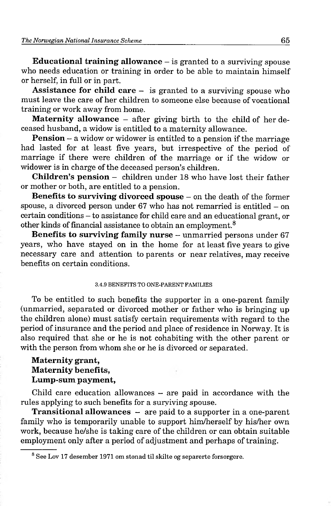**Educational training allowance** – is granted to a surviving spouse who needs education or training in order to be able to maintain himself or herself, in full or in part.

**Assistance for child care** — is granted to a surviving spouse who must leave the care of her children to someone else because of vocational training or work away from home.

**Maternity allowance** – after giving birth to the child of her deceased husband, a widow is entitled to a maternity allowance.

**Pension** – a widow or widower is entitled to a pension if the marriage had lasted for at least five years, but irrespective of the period of marriage if there were children of the marriage or if the widow or widower is in charge of the deceased person's children.

**Children's pension** - children under 18 who have lost their father or mother or both, are entitled to a pension.

**Benefits to surviving divorced spouse** – on the death of the former spouse, a divorced person under  $67$  who has not remarried is entitled  $-$  on certain conditions - to assistance for child care and an educational grant, or other kinds of financial assistance to obtain an employment.8

**Benefits to surviving family nurse** – unmarried persons under 67 years, who have stayed on in the home for at least five years to give necessary care and attention to parents or near relatives, may receive benefits on certain conditions.

### 3.4.9 BENEFITS TO ONE-PARENT FAMILIES

To be entitled to such benefits the supporter in a one-parent family (unmarried, separated or divorced mother or father who is bringing up the children alone) must satisfy certain requirements with regard to the period of insurance and the period and place of residence in Norway. It is also required that she or he is not cohabiting with the other parent or with the person from whom she or he is divorced or separated.

# **Maternity grant, Maternity benefits, Lump-sum payment,**

Child care education allowances  $-$  are paid in accordance with the rules applying to such benefits for a surviving spouse.

**Transitional allowances** – are paid to a supporter in a one-parent family who is temporarily unable to support him/herself by his/her own work, because he/she is taking care of the children or can obtain suitable employment only after a period of adjustment and perhaps of training.

<sup>8</sup> See Lov 17 desember 1971 om stonad til skilte og separerte forsorgere.